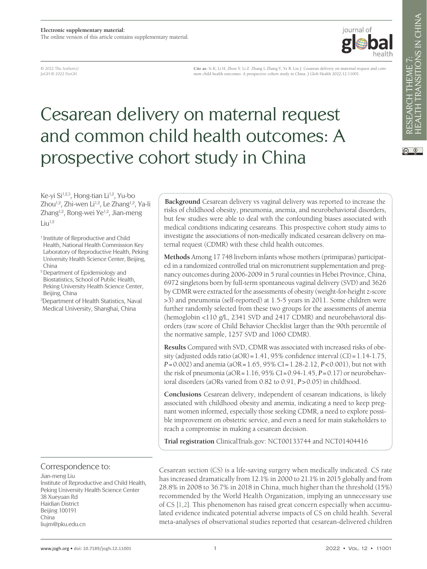

HEALTH TRANSITIONS IN CHINA RESEARCH THEME 7:<br>HEALTH TRANSITIONS IN CHINA RESEARCH THEME 7:

 $\circledcirc$   $\circledcirc$ 

© 2022 The Author(s) JoGH © 2022 ISoGH

**Cite as:** Si K, Li H, Zhou Y, Li Z. Zhang L Zhang Y, Ye R, Liu J. Cesarean delivery on maternal request and common child health outcomes: A prospective cohort study in China. J Glob Health 2022;12:11001.

# Cesarean delivery on maternal request and common child health outcomes: A prospective cohort study in China

Ke-yi Si<sup>1,2,3</sup>, Hong-tian Li<sup>1,2</sup>, Yu-bo Zhou<sup>1,2</sup>, Zhi-wen Li<sup>1,2</sup>, Le Zhang<sup>1,2</sup>, Ya-li Zhang<sup>1,2</sup>, Rong-wei Ye<sup>1,2</sup>, Jian-meng  $Liu^{1,2}$ 

<sup>1</sup> Institute of Reproductive and Child Health, National Health Commission Key Laboratory of Reproductive Health, Peking University Health Science Center, Beijing, China

2 Department of Epidemiology and Biostatistics, School of Public Health, Peking University Health Science Center, Beijing, China

3 Department of Health Statistics, Naval Medical University, Shanghai, China

Correspondence to:

Jian-meng Liu Institute of Reproductive and Child Health, Peking University Health Science Center 38 Xueyuan Rd Haidian District Beijing 100191 China liujm@pku.edu.cn

**Background** Cesarean delivery vs vaginal delivery was reported to increase the risks of childhood obesity, pneumonia, anemia, and neurobehavioral disorders, but few studies were able to deal with the confounding biases associated with medical conditions indicating cesareans. This prospective cohort study aims to investigate the associations of non-medically indicated cesarean delivery on maternal request (CDMR) with these child health outcomes.

**Methods** Among 17 748 liveborn infants whose mothers (primiparas) participated in a randomized controlled trial on micronutrient supplementation and pregnancy outcomes during 2006-2009 in 5 rural counties in Hebei Province, China, 6972 singletons born by full-term spontaneous vaginal delivery (SVD) and 3626 by CDMR were extracted for the assessments of obesity (weight-for-height z-score >3) and pneumonia (self-reported) at 1.5-5 years in 2011. Some children were further randomly selected from these two groups for the assessments of anemia (hemoglobin <110 g/L, 2341 SVD and 2417 CDMR) and neurobehavioral disorders (raw score of Child Behavior Checklist larger than the 90th percentile of the normative sample, 1257 SVD and 1060 CDMR).

**Results** Compared with SVD, CDMR was associated with increased risks of obesity (adjusted odds ratio (aOR) =  $1.41$ , 95% confidence interval (CI) =  $1.14$ - $1.75$ , *P*=0.002) and anemia (aOR=1.65, 95% CI=1.28-2.12, *P*<0.001), but not with the risk of pneumonia (aOR=1.16, 95% CI=0.94-1.45, *P*=0.17) or neurobehavioral disorders (aORs varied from 0.82 to 0.91, *P*>0.05) in childhood.

**Conclusions** Cesarean delivery, independent of cesarean indications, is likely associated with childhood obesity and anemia, indicating a need to keep pregnant women informed, especially those seeking CDMR, a need to explore possible improvement on obstetric service, and even a need for main stakeholders to reach a compromise in making a cesarean decision.

**Trial registration** ClinicalTrials.gov: NCT00133744 and NCT01404416

Cesarean section (CS) is a life-saving surgery when medically indicated. CS rate has increased dramatically from 12.1% in 2000 to 21.1% in 2015 globally and from 28.8% in 2008 to 36.7% in 2018 in China, much higher than the threshold (15%) recommended by the World Health Organization, implying an unnecessary use of CS [\[1,](#page-8-0)[2](#page-8-1)]. This phenomenon has raised great concern especially when accumulated evidence indicated potential adverse impacts of CS on child health. Several meta-analyses of observational studies reported that cesarean-delivered children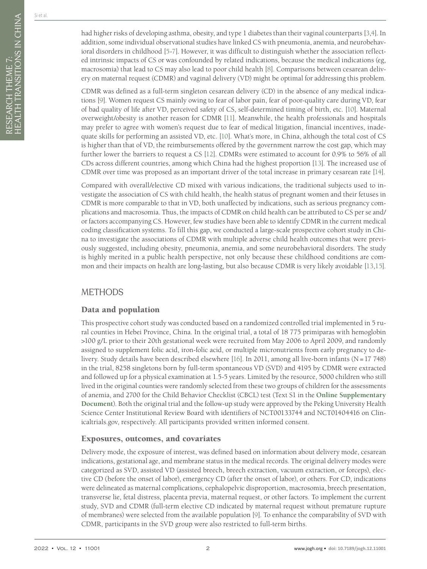had higher risks of developing asthma, obesity, and type 1 diabetes than their vaginal counterparts [[3,](#page-8-2)[4\]](#page-8-3). In addition, some individual observational studies have linked CS with pneumonia, anemia, and neurobehavioral disorders in childhood [[5](#page-8-4)[-7\]](#page-8-5). However, it was difficult to distinguish whether the association reflected intrinsic impacts of CS or was confounded by related indications, because the medical indications (eg, macrosomia) that lead to CS may also lead to poor child health [[8\]](#page-8-6). Comparisons between cesarean delivery on maternal request (CDMR) and vaginal delivery (VD) might be optimal for addressing this problem.

CDMR was defined as a full-term singleton cesarean delivery (CD) in the absence of any medical indications [\[9\]](#page-8-7). Women request CS mainly owing to fear of labor pain, fear of poor-quality care during VD, fear of bad quality of life after VD, perceived safety of CS, self-determined timing of birth, etc. [\[10\]](#page-8-8). Maternal overweight/obesity is another reason for CDMR [\[11](#page-8-9)]. Meanwhile, the health professionals and hospitals may prefer to agree with women's request due to fear of medical litigation, financial incentives, inadequate skills for performing an assisted VD, etc. [\[10](#page-8-8)]. What's more, in China, although the total cost of CS is higher than that of VD, the reimbursements offered by the government narrow the cost gap, which may further lower the barriers to request a CS [\[12](#page-8-10)]. CDMRs were estimated to account for 0.9% to 56% of all CDs across different countries, among which China had the highest proportion [\[13](#page-8-11)]. The increased use of CDMR over time was proposed as an important driver of the total increase in primary cesarean rate [\[14](#page-8-12)].

Compared with overall/elective CD mixed with various indications, the traditional subjects used to investigate the association of CS with child health, the health status of pregnant women and their fetuses in CDMR is more comparable to that in VD, both unaffected by indications, such as serious pregnancy complications and macrosomia. Thus, the impacts of CDMR on child health can be attributed to CS per se and/ or factors accompanying CS. However, few studies have been able to identify CDMR in the current medical coding classification systems. To fill this gap, we conducted a large-scale prospective cohort study in China to investigate the associations of CDMR with multiple adverse child health outcomes that were previously suggested, including obesity, pneumonia, anemia, and some neurobehavioral disorders. The study is highly merited in a public health perspective, not only because these childhood conditions are common and their impacts on health are long-lasting, but also because CDMR is very likely avoidable [\[13](#page-8-11)[,15](#page-8-13)].

# METHODS

# Data and population

This prospective cohort study was conducted based on a randomized controlled trial implemented in 5 rural counties in Hebei Province, China. In the original trial, a total of 18 775 primiparas with hemoglobin >100 g/L prior to their 20th gestational week were recruited from May 2006 to April 2009, and randomly assigned to supplement folic acid, iron-folic acid, or multiple micronutrients from early pregnancy to delivery. Study details have been described elsewhere [\[16\]](#page-8-14). In 2011, among all live-born infants (N=17 748) in the trial, 8258 singletons born by full-term spontaneous VD (SVD) and 4195 by CDMR were extracted and followed up for a physical examination at 1.5-5 years. Limited by the resource, 5000 children who still lived in the original counties were randomly selected from these two groups of children for the assessments of anemia, and 2700 for the Child Behavior Checklist (CBCL) test (Text S1 in the **Online [Supplementary](#page-7-0) [Document](#page-7-0)**). Both the original trial and the follow-up study were approved by the Peking University Health Science Center Institutional Review Board with identifiers of NCT00133744 and NCT01404416 on Clinicaltrials.gov, respectively. All participants provided written informed consent.

# Exposures, outcomes, and covariates

Delivery mode, the exposure of interest, was defined based on information about delivery mode, cesarean indications, gestational age, and membrane status in the medical records. The original delivery modes were categorized as SVD, assisted VD (assisted breech, breech extraction, vacuum extraction, or forceps), elective CD (before the onset of labor), emergency CD (after the onset of labor), or others. For CD, indications were delineated as maternal complications, cephalopelvic disproportion, macrosomia, breech presentation, transverse lie, fetal distress, placenta previa, maternal request, or other factors. To implement the current study, SVD and CDMR (full-term elective CD indicated by maternal request without premature rupture of membranes) were selected from the available population [\[9\]](#page-8-7). To enhance the comparability of SVD with CDMR, participants in the SVD group were also restricted to full-term births.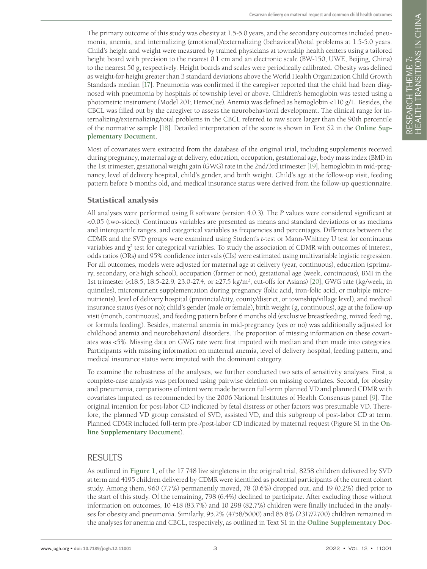The primary outcome of this study was obesity at 1.5-5.0 years, and the secondary outcomes included pneumonia, anemia, and internalizing (emotional)/externalizing (behavioral)/total problems at 1.5-5.0 years. Child's height and weight were measured by trained physicians at township health centers using a tailored height board with precision to the nearest 0.1 cm and an electronic scale (BW-150, UWE, Beijing, China) to the nearest 50 g, respectively. Height boards and scales were periodically calibrated. Obesity was defined as weight-for-height greater than 3 standard deviations above the World Health Organization Child Growth Standards median [\[17\]](#page-8-15). Pneumonia was confirmed if the caregiver reported that the child had been diagnosed with pneumonia by hospitals of township level or above. Children's hemoglobin was tested using a photometric instrument (Model 201; HemoCue). Anemia was defined as hemoglobin <110 g/L. Besides, the CBCL was filled out by the caregiver to assess the neurobehavioral development. The clinical range for internalizing/externalizing/total problems in the CBCL referred to raw score larger than the 90th percentile of the normative sample [\[18\]](#page-8-16). Detailed interpretation of the score is shown in Text S2 in the **[Online](#page-7-0) Sup[plementary](#page-7-0) Document**.

Most of covariates were extracted from the database of the original trial, including supplements received during pregnancy, maternal age at delivery, education, occupation, gestational age, body mass index (BMI) in the 1st trimester, gestational weight gain (GWG) rate in the 2nd/3rd trimester [\[19\]](#page-8-17), hemoglobin in mid-pregnancy, level of delivery hospital, child's gender, and birth weight. Child's age at the follow-up visit, feeding pattern before 6 months old, and medical insurance status were derived from the follow-up questionnaire.

# Statistical analysis

All analyses were performed using R software (version 4.0.3). The *P* values were considered significant at <0.05 (two-sided). Continuous variables are presented as means and standard deviations or as medians and interquartile ranges, and categorical variables as frequencies and percentages. Differences between the CDMR and the SVD groups were examined using Student's *t*-test or Mann-Whitney U test for continuous variables and  $\chi^2$  test for categorical variables. To study the association of CDMR with outcomes of interest, odds ratios (ORs) and 95% confidence intervals (CIs) were estimated using multivariable logistic regression. For all outcomes, models were adjusted for maternal age at delivery (year, continuous), education (≤primary, secondary, or≥high school), occupation (farmer or not), gestational age (week, continuous), BMI in the 1st trimester (<18.5, 18.5-22.9, 23.0-27.4, or ≥27.5 kg/m<sup>2</sup>, cut-offs for Asians) [\[20](#page-8-18)], GWG rate (kg/week, in quintiles), micronutrient supplementation during pregnancy (folic acid, iron-folic acid, or multiple micronutrients), level of delivery hospital (provincial/city, county/district, or township/village level), and medical insurance status (yes or no); child's gender (male or female), birth weight (g, continuous), age at the follow-up visit (month, continuous), and feeding pattern before 6 months old (exclusive breastfeeding, mixed feeding, or formula feeding). Besides, maternal anemia in mid-pregnancy (yes or no) was additionally adjusted for childhood anemia and neurobehavioral disorders. The proportion of missing information on these covariates was <5%. Missing data on GWG rate were first imputed with median and then made into categories. Participants with missing information on maternal anemia, level of delivery hospital, feeding pattern, and medical insurance status were imputed with the dominant category.

To examine the robustness of the analyses, we further conducted two sets of sensitivity analyses. First, a complete-case analysis was performed using pairwise deletion on missing covariates. Second, for obesity and pneumonia, comparisons of intent were made between full-term planned VD and planned CDMR with covariates imputed, as recommended by the 2006 National Institutes of Health Consensus panel [\[9\]](#page-8-7). The original intention for post-labor CD indicated by fetal distress or other factors was presumable VD. Therefore, the planned VD group consisted of SVD, assisted VD, and this subgroup of post-labor CD at term. Planned CDMR included full-term pre-/post-labor CD indicated by maternal request (Figure S1 in the **[On](#page-7-0)line [Supplementary](#page-7-0) Document**).

# RESULTS

As outlined in **[Figure](#page-3-0) 1**, of the 17 748 live singletons in the original trial, 8258 children delivered by SVD at term and 4195 children delivered by CDMR were identified as potential participants of the current cohort study. Among them, 960 (7.7%) permanently moved, 78 (0.6%) dropped out, and 19 (0.2%) died prior to the start of this study. Of the remaining, 798 (6.4%) declined to participate. After excluding those without information on outcomes, 10 418 (83.7%) and 10 298 (82.7%) children were finally included in the analyses for obesity and pneumonia. Similarly, 95.2% (4758/5000) and 85.8% (2317/2700) children remained in the analyses for anemia and CBCL, respectively, as outlined in Text S1 in the **Online [Supplementary](#page-7-0) Doc-**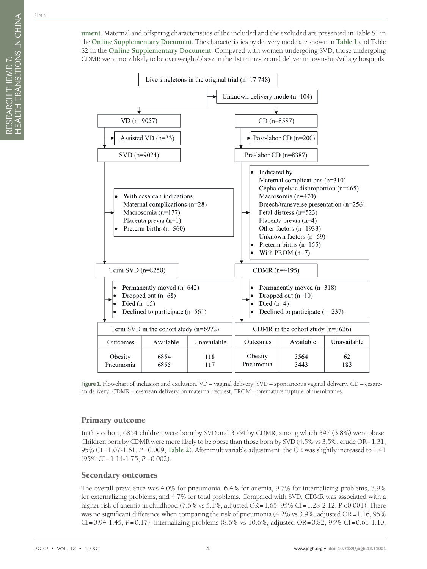**[ument](#page-7-0)**. Maternal and offspring characteristics of the included and the excluded are presented in Table S1 in the **Online [Supplementary](#page-7-0) Document.** The characteristics by delivery mode are shown in **[Table](#page-4-0) 1** and Table S2 in the **Online [Supplementary](#page-7-0) Document**. Compared with women undergoing SVD, those undergoing CDMR were more likely to be overweight/obese in the 1st trimester and deliver in township/village hospitals.

<span id="page-3-0"></span>

**Figure 1.** Flowchart of inclusion and exclusion. VD – vaginal delivery, SVD – spontaneous vaginal delivery, CD – cesarean delivery, CDMR – cesarean delivery on maternal request, PROM – premature rupture of membranes.

# Primary outcome

In this cohort, 6854 children were born by SVD and 3564 by CDMR, among which 397 (3.8%) were obese. Children born by CDMR were more likely to be obese than those born by SVD (4.5% vs 3.5%, crude OR=1.31, 95% CI=1.07-1.61, *P*=0.009, **[Table](#page-5-0) 2**). After multivariable adjustment, the OR was slightly increased to 1.41 (95% CI=1.14-1.75, *P*=0.002).

# Secondary outcomes

The overall prevalence was 4.0% for pneumonia, 6.4% for anemia, 9.7% for internalizing problems, 3.9% for externalizing problems, and 4.7% for total problems. Compared with SVD, CDMR was associated with a higher risk of anemia in childhood (7.6% vs 5.1%, adjusted OR=1.65, 95% CI=1.28-2.12, *P*<0.001). There was no significant difference when comparing the risk of pneumonia (4.2% vs 3.9%, adjusted OR=1.16, 95% CI=0.94-1.45, *P*=0.17), internalizing problems (8.6% vs 10.6%, adjusted OR=0.82, 95% CI=0.61-1.10,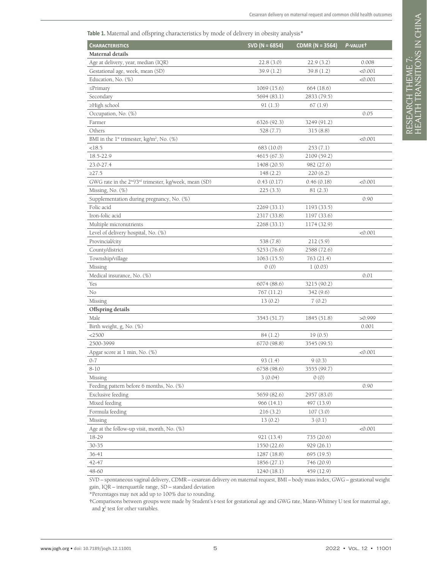<span id="page-4-0"></span>Table 1. Maternal and offspring characteristics by mode of delivery in obesity analysis<sup>\*</sup>

| <b>CHARACTERISTICS</b>                                                         | SVD ( $N = 6854$ ) | <b>CDMR (N = 3564)</b> | P-VALUET |
|--------------------------------------------------------------------------------|--------------------|------------------------|----------|
| Maternal details                                                               |                    |                        |          |
| Age at delivery, year, median (IQR)                                            | 22.8(3.0)          | 22.9(3.2)              | 0.008    |
| Gestational age, week, mean (SD)                                               | 39.9(1.2)          | 39.8(1.2)              | < 0.001  |
| Education, No. (%)                                                             |                    |                        | < 0.001  |
| $\leq$ Primary                                                                 | 1069 (15.6)        | 664 (18.6)             |          |
| Secondary                                                                      | 5694 (83.1)        | 2833 (79.5)            |          |
| ≥High school                                                                   | 91(1.3)            | 67(1.9)                |          |
| Occupation, No. (%)                                                            |                    |                        | 0.05     |
| Farmer                                                                         | 6326 (92.3)        | 3249 (91.2)            |          |
| Others                                                                         | 528 (7.7)          | 315(8.8)               |          |
| BMI in the $1st$ trimester, kg/m <sup>2</sup> , No. (%)                        |                    |                        | < 0.001  |
| <18.5                                                                          | 683 (10.0)         | 253(7.1)               |          |
| 18.5-22.9                                                                      | 4615 (67.3)        | 2109 (59.2)            |          |
| 23.0-27.4                                                                      | 1408 (20.5)        | 982 (27.6)             |          |
| $\geq$ 27.5                                                                    | 148(2.2)           | 220(6.2)               |          |
| GWG rate in the 2 <sup>nd</sup> /3 <sup>rd</sup> trimester, kg/week, mean (SD) | 0.43(0.17)         | 0.46(0.18)             | < 0.001  |
| Missing, No. (%)                                                               | 225(3.3)           | 81(2.3)                |          |
| Supplementation during pregnancy, No. (%)                                      |                    |                        | 0.90     |
| Folic acid                                                                     | 2269 (33.1)        | 1193 (33.5)            |          |
| Iron-folic acid                                                                | 2317 (33.8)        | 1197 (33.6)            |          |
| Multiple micronutrients                                                        | 2268 (33.1)        | 1174 (32.9)            |          |
| Level of delivery hospital, No. (%)                                            |                    |                        | < 0.001  |
| Provincial/city                                                                | 538 (7.8)          | 212(5.9)               |          |
| County/district                                                                | 5253 (76.6)        | 2588 (72.6)            |          |
| Township/village                                                               | 1063(15.5)         | 763 (21.4)             |          |
| Missing                                                                        | 0(0)               | 1(0.03)                |          |
| Medical insurance, No. (%)                                                     |                    |                        | 0.01     |
| Yes                                                                            | 6074 (88.6)        | 3215 (90.2)            |          |
| No                                                                             | 767 (11.2)         | 342 (9.6)              |          |
| Missing                                                                        | 13(0.2)            | 7(0.2)                 |          |
| Offspring details                                                              |                    |                        |          |
| Male                                                                           | 3543 (51.7)        | 1845 (51.8)            | >0.999   |
| Birth weight, g, No. (%)                                                       |                    |                        | 0.001    |
| $<$ 2500                                                                       | 84(1.2)            | 19(0.5)                |          |
| 2500-3999                                                                      | 6770 (98.8)        | 3545 (99.5)            |          |
| Apgar score at 1 min, No. (%)                                                  |                    |                        | < 0.001  |
| $0 - 7$                                                                        | 93(1.4)            | 9(0.3)                 |          |
| $8 - 10$                                                                       | 6758 (98.6)        | 3555 (99.7)            |          |
| Missing                                                                        | 3(0.04)            | 0(0)                   |          |
| Feeding pattern before 6 months, No. (%)                                       |                    |                        | 0.90     |
| Exclusive feeding                                                              | 5659 (82.6)        | 2957 (83.0)            |          |
| Mixed feeding                                                                  | 966(14.1)          | 497 (13.9)             |          |
| Formula feeding                                                                | 216(3.2)           | 107(3.0)               |          |
| Missing                                                                        | 13(0.2)            | 3(0.1)                 |          |
| Age at the follow-up visit, month, No. $(\%)$                                  |                    |                        | < 0.001  |
| 18-29                                                                          | 921 (13.4)         | 735 (20.6)             |          |
| $30 - 35$                                                                      | 1550 (22.6)        | 929(26.1)              |          |
| 36-41                                                                          | 1287 (18.8)        | 695 (19.5)             |          |
| 42-47                                                                          | 1856(27.1)         | 746 (20.9)             |          |
| 48-60                                                                          | 1240 (18.1)        | 459 (12.9)             |          |

SVD – spontaneous vaginal delivery, CDMR – cesarean delivery on maternal request, BMI – body mass index, GWG – gestational weight gain, IQR – interquartile range, SD – standard deviation

\*Percentages may not add up to 100% due to rounding.

**†**Comparisons between groups were made by Student's *t*-test for gestational age and GWG rate, Mann-Whitney U test for maternal age, and  $\chi^2$  test for other variables.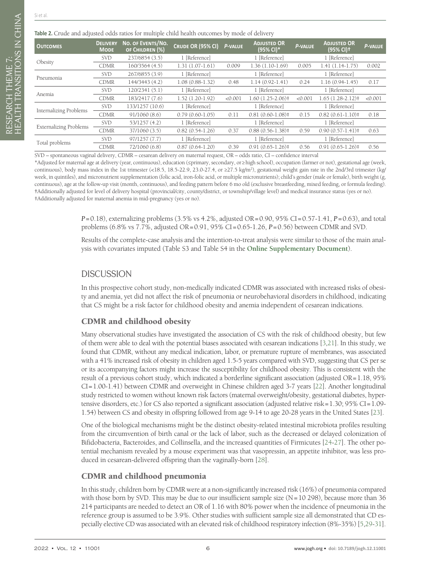RESEARCH THEME 7:

HEALTH TRANSITIONS IN CHINA

RESEARCH THEME 7:<br>HEALTH TRANSITIONS IN CHINA

#### <span id="page-5-0"></span>**Table 2.** Crude and adjusted odds ratios for multiple child health outcomes by mode of delivery

| <b>OUTCOMES</b>               | <b>DELIVERY</b><br><b>MODE</b> | NO. OF EVENTS/NO.<br>OF CHILDREN (%) | CRUDE OR (95% CI) | P-VALUE | <b>ADJUSTED OR</b><br>(95% CI)* | <b>P-VALUE</b> | <b>ADJUSTED OR</b><br>$(95% Cl)^+$ | P-VALUE |
|-------------------------------|--------------------------------|--------------------------------------|-------------------|---------|---------------------------------|----------------|------------------------------------|---------|
| Obesity                       | <b>SVD</b>                     | 237/6854 (3.5)                       | 1 [Reference]     |         | 1 [Reference]                   |                | 1 [Reference]                      |         |
|                               | <b>CDMR</b>                    | 160/3564 (4.5)                       | $1.31(1.07-1.61)$ | 0.009   | $1.36(1.10-1.69)$               | 0.005          | $1.41(1.14-1.75)$                  | 0.002   |
| Pneumonia                     | <b>SVD</b>                     | 267/6855 (3.9)                       | 1 [Reference]     |         | 1 [Reference]                   |                | 1 [Reference]                      |         |
|                               | <b>CDMR</b>                    | 144/3443 (4.2)                       | $1.08(0.88-1.32)$ | 0.48    | $1.14(0.92 - 1.41)$             | 0.24           | $1.16(0.94-1.45)$                  | 0.17    |
| Anemia                        | <b>SVD</b>                     | 120/2341 (5.1)                       | 1 [Reference]     |         | 1 [Reference]                   |                | 1 [Reference]                      |         |
|                               | <b>CDMR</b>                    | 183/2417 (7.6)                       | $1.52(1.20-1.92)$ | < 0.001 | $1.60(1.25-2.06)$               | < 0.001        | $1.65(1.28-2.12)$                  | < 0.001 |
| Internalizing Problems        | <b>SVD</b>                     | 133/1257 (10.6)                      | 1 [Reference]     |         | 1 [Reference]                   |                | 1 [Reference]                      |         |
|                               | <b>CDMR</b>                    | 91/1060(8.6)                         | $0.79(0.60-1.05)$ | 0.11    | $0.81(0.60 - 1.08)$             | 0.15           | $0.82(0.61-1.10)$                  | 0.18    |
| <b>Externalizing Problems</b> | <b>SVD</b>                     | 53/1257(4.2)                         | 1 [Reference]     |         | 1 [Reference]                   |                | 1 [Reference]                      |         |
|                               | <b>CDMR</b>                    | 37/1060 (3.5)                        | $0.82(0.54-1.26)$ | 0.37    | $0.88(0.56 - 1.38)$             | 0.59           | $0.90(0.57-1.41)$                  | 0.63    |
| Total problems                | <b>SVD</b>                     | 97/1257(7.7)                         | 1 [Reference]     |         | 1 [Reference]                   |                | 1 [Reference]                      |         |
|                               | <b>CDMR</b>                    | 72/1060 (6.8)                        | $0.87(0.64-1.20)$ | 0.39    | $0.91(0.65 - 1.26)$ #           | 0.56           | $0.91(0.65 - 1.26)$ #              | 0.56    |

SVD – spontaneous vaginal delivery, CDMR – cesarean delivery on maternal request, OR – odds ratio, CI – confidence interval

\*Adjusted for maternal age at delivery (year, continuous), education (≤primary, secondary, or≥high school), occupation (farmer or not), gestational age (week, continuous), body mass index in the 1st trimester (<18.5, 18.5-22.9, 23.0-27.4, or ≥27.5 kg/m2 ), gestational weight gain rate in the 2nd/3rd trimester (kg/ week, in quintiles), and micronutrient supplementation (folic acid, iron-folic acid, or multiple micronutrients); child's gender (male or female), birth weight (g, continuous), age at the follow-up visit (month, continuous), and feeding pattern before 6 mo old (exclusive breastfeeding, mixed feeding, or formula feeding). **†**Additionally adjusted for level of delivery hospital (provincial/city, county/district, or township/village level) and medical insurance status (yes or no). ‡Additionally adjusted for maternal anemia in mid-pregnancy (yes or no).

> *P*=0.18), externalizing problems (3.5% vs 4.2%, adjusted OR=0.90, 95% CI=0.57-1.41, *P*=0.63), and total problems (6.8% vs 7.7%, adjusted OR=0.91, 95% CI=0.65-1.26, *P*=0.56) between CDMR and SVD.

> Results of the complete-case analysis and the intention-to-treat analysis were similar to those of the main analysis with covariates imputed (Table S3 and Table S4 in the **Online [Supplementary](#page-7-0) Document**).

# **DISCUSSION**

In this prospective cohort study, non-medically indicated CDMR was associated with increased risks of obesity and anemia, yet did not affect the risk of pneumonia or neurobehavioral disorders in childhood, indicating that CS might be a risk factor for childhood obesity and anemia independent of cesarean indications.

# CDMR and childhood obesity

Many observational studies have investigated the association of CS with the risk of childhood obesity, but few of them were able to deal with the potential biases associated with cesarean indications [[3,](#page-8-2)[21\]](#page-8-19). In this study, we found that CDMR, without any medical indication, labor, or premature rupture of membranes, was associated with a 41% increased risk of obesity in children aged 1.5-5 years compared with SVD, suggesting that CS per se or its accompanying factors might increase the susceptibility for childhood obesity. This is consistent with the result of a previous cohort study, which indicated a borderline significant association (adjusted OR=1.18, 95% CI=1.00-1.41) between CDMR and overweight in Chinese children aged 3-7 years [\[22\]](#page-8-20). Another longitudinal study restricted to women without known risk factors (maternal overweight/obesity, gestational diabetes, hypertensive disorders, etc.) for CS also reported a significant association (adjusted relative risk=1.30; 95% CI=1.09- 1.54) between CS and obesity in offspring followed from age 9-14 to age 20-28 years in the United States [\[23](#page-8-21)].

One of the biological mechanisms might be the distinct obesity-related intestinal microbiota profiles resulting from the circumvention of birth canal or the lack of labor, such as the decreased or delayed colonization of Bifidobacteria, Bacteroides, and Collinsella, and the increased quantities of Firmicutes [[24](#page-8-22)[-27](#page-8-23)]. The other potential mechanism revealed by a mouse experiment was that vasopressin, an appetite inhibitor, was less produced in cesarean-delivered offspring than the vaginally-born [\[28\]](#page-9-0).

# CDMR and childhood pneumonia

In this study, children born by CDMR were at a non-significantly increased risk (16%) of pneumonia compared with those born by SVD. This may be due to our insufficient sample size (N=10 298), because more than 36 214 participants are needed to detect an OR of 1.16 with 80% power when the incidence of pneumonia in the reference group is assumed to be 3.9%. Other studies with sufficient sample size all demonstrated that CD especially elective CD was associated with an elevated risk of childhood respiratory infection (8%-35%) [\[5](#page-8-4),[29-](#page-9-1)[31\]](#page-9-2).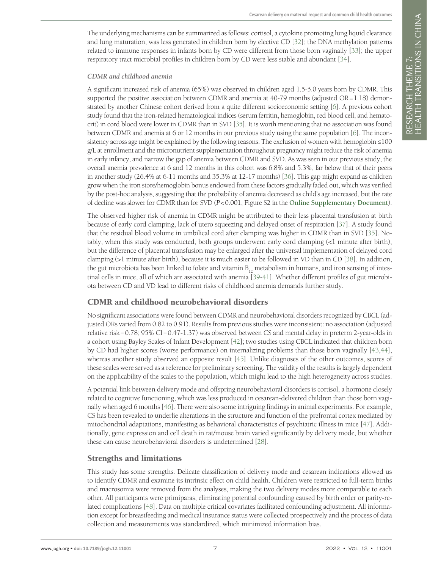The underlying mechanisms can be summarized as follows: cortisol, a cytokine promoting lung liquid clearance and lung maturation, was less generated in children born by elective CD [\[32\]](#page-9-3); the DNA methylation patterns related to immune responses in infants born by CD were different from those born vaginally [\[33](#page-9-4)]; the upper respiratory tract microbial profiles in children born by CD were less stable and abundant [\[34\]](#page-9-5).

#### *CDMR and childhood anemia*

A significant increased risk of anemia (65%) was observed in children aged 1.5-5.0 years born by CDMR. This supported the positive association between CDMR and anemia at 40-79 months (adjusted OR=1.18) demonstrated by another Chinese cohort derived from a quite different socioeconomic setting [\[6](#page-8-24)]. A previous cohort study found that the iron-related hematological indices (serum ferritin, hemoglobin, red blood cell, and hematocrit) in cord blood were lower in CDMR than in SVD [[35\]](#page-9-6). It is worth mentioning that no association was found between CDMR and anemia at 6 or 12 months in our previous study using the same population [\[6](#page-8-24)]. The inconsistency across age might be explained by the following reasons. The exclusion of women with hemoglobin ≤100 g/L at enrollment and the micronutrient supplementation throughout pregnancy might reduce the risk of anemia in early infancy, and narrow the gap of anemia between CDMR and SVD. As was seen in our previous study, the overall anemia prevalence at 6 and 12 months in this cohort was 6.8% and 5.3%, far below that of their peers in another study (26.4% at 6-11 months and 35.3% at 12-17 months) [\[36](#page-9-7)]. This gap might expand as children grow when the iron store/hemoglobin bonus endowed from these factors gradually faded out, which was verified by the post-hoc analysis, suggesting that the probability of anemia decreased as child's age increased, but the rate of decline was slower for CDMR than for SVD (*P*<0.001, Figure S2 in the **Online [Supplementary](#page-7-0) Document**).

The observed higher risk of anemia in CDMR might be attributed to their less placental transfusion at birth because of early cord clamping, lack of utero squeezing and delayed onset of respiration [\[37\]](#page-9-8). A study found that the residual blood volume in umbilical cord after clamping was higher in CDMR than in SVD [\[35](#page-9-6)]. Notably, when this study was conducted, both groups underwent early cord clamping (<1 minute after birth), but the difference of placental transfusion may be enlarged after the universal implementation of delayed cord clamping (>1 minute after birth), because it is much easier to be followed in VD than in CD [\[38](#page-9-9)]. In addition, the gut microbiota has been linked to folate and vitamin  $B_{12}$  metabolism in humans, and iron sensing of intestinal cells in mice, all of which are associated with anemia [[39](#page-9-10)[-41](#page-9-11)]. Whether different profiles of gut microbiota between CD and VD lead to different risks of childhood anemia demands further study.

# CDMR and childhood neurobehavioral disorders

No significant associations were found between CDMR and neurobehavioral disorders recognized by CBCL (adjusted ORs varied from 0.82 to 0.91). Results from previous studies were inconsistent: no association (adjusted relative risk=0.78; 95% CI=0.47-1.37) was observed between CS and mental delay in preterm 2-year-olds in a cohort using Bayley Scales of Infant Development [\[42](#page-9-12)]; two studies using CBCL indicated that children born by CD had higher scores (worse performance) on internalizing problems than those born vaginally [\[43,](#page-9-13)[44](#page-9-14)], whereas another study observed an opposite result [[45](#page-9-15)]. Unlike diagnoses of the other outcomes, scores of these scales were served as a reference for preliminary screening. The validity of the results is largely dependent on the applicability of the scales to the population, which might lead to the high heterogeneity across studies.

A potential link between delivery mode and offspring neurobehavioral disorders is cortisol, a hormone closely related to cognitive functioning, which was less produced in cesarean-delivered children than those born vaginally when aged 6 months [[46\]](#page-9-16). There were also some intriguing findings in animal experiments. For example, CS has been revealed to underlie alterations in the structure and function of the prefrontal cortex mediated by mitochondrial adaptations, manifesting as behavioral characteristics of psychiatric illness in mice [\[47](#page-9-17)]. Additionally, gene expression and cell death in rat/mouse brain varied significantly by delivery mode, but whether these can cause neurobehavioral disorders is undetermined [\[28](#page-9-0)].

# Strengths and limitations

This study has some strengths. Delicate classification of delivery mode and cesarean indications allowed us to identify CDMR and examine its intrinsic effect on child health. Children were restricted to full-term births and macrosomia were removed from the analyses, making the two delivery modes more comparable to each other. All participants were primiparas, eliminating potential confounding caused by birth order or parity-related complications [\[48](#page-9-18)]. Data on multiple critical covariates facilitated confounding adjustment. All information except for breastfeeding and medical insurance status were collected prospectively and the process of data collection and measurements was standardized, which minimized information bias.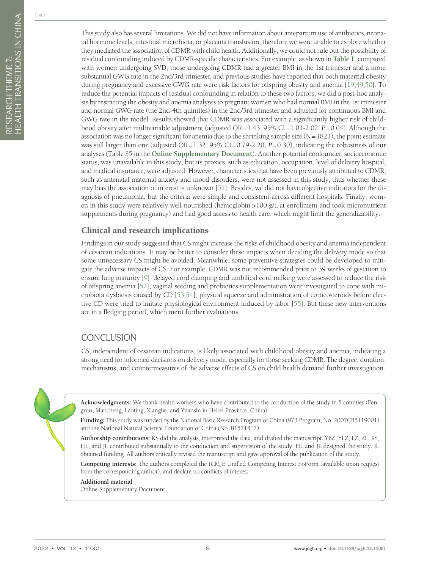This study also has several limitations. We did not have information about antepartum use of antibiotics, neonatal hormone levels, intestinal microbiota, or placenta transfusion, therefore we were unable to explore whether they mediated the association of CDMR with child health. Additionally, we could not rule out the possibility of residual confounding induced by CDMR-specific characteristics. For example, as shown in **[Table](#page-4-0) 1**, compared with women undergoing SVD, those undergoing CDMR had a greater BMI in the 1st trimester and a more substantial GWG rate in the 2nd/3rd trimester, and previous studies have reported that both maternal obesity during pregnancy and excessive GWG rate were risk factors for offspring obesity and anemia [\[19](#page-8-17),[49](#page-9-19)[,50\]](#page-9-20). To reduce the potential impacts of residual confounding in relation to these two factors, we did a post-hoc analysis by restricting the obesity and anemia analyses to pregnant women who had normal BMI in the 1st trimester and normal GWG rate (the 2nd-4th quintiles) in the 2nd/3rd trimester and adjusted for continuous BMI and GWG rate in the model. Results showed that CDMR was associated with a significantly higher risk of childhood obesity after multivariable adjustment (adjusted OR=1.43, 95% CI=1.01-2.02, *P*=0.04). Although the association was no longer significant for anemia due to the shrinking sample size  $(N=1821)$ , the point estimate was still larger than one (adjusted OR=1.32, 95% CI=0.79-2.20, *P*=0.30), indicating the robustness of our analyses (Table S5 in the **Online [Supplementary](#page-7-0) Document**). Another potential confounder, socioeconomic status, was unavailable in this study, but its proxies, such as education, occupation, level of delivery hospital, and medical insurance, were adjusted. However, characteristics that have been previously attributed to CDMR, such as antenatal maternal anxiety and mood disorders, were not assessed in this study, thus whether these may bias the association of interest is unknown [[51\]](#page-9-21). Besides, we did not have objective indicators for the diagnosis of pneumonia, but the criteria were simple and consistent across different hospitals. Finally, women in this study were relatively well-nourished (hemoglobin >100 g/L at enrollment and took micronutrient supplements during pregnancy) and had good access to health care, which might limit the generalizability.

#### Clinical and research implications

Findings in our study suggested that CS might increase the risks of childhood obesity and anemia independent of cesarean indications. It may be better to consider these impacts when deciding the delivery mode so that some unnecessary CS might be avoided. Meanwhile, some preventive strategies could be developed to mitigate the adverse impacts of CS. For example, CDMR was not recommended prior to 39 weeks of gestation to ensure lung maturity [[9\]](#page-8-7); delayed cord clamping and umbilical cord milking were assessed to reduce the risk of offspring anemia [[52](#page-9-22)]; vaginal seeding and probiotics supplementation were investigated to cope with microbiota dysbiosis caused by CD [[53](#page-9-23),[54\]](#page-9-24); physical squeeze and administration of corticosteroids before elective CD were tried to imitate physiological environment induced by labor [\[55](#page-9-25)]. But these new interventions are in a fledging period, which merit further evaluations.

# **CONCLUSION**

CS, independent of cesarean indications, is likely associated with childhood obesity and anemia, indicating a strong need for informed decisions on delivery mode, especially for those seeking CDMR. The degree, duration, mechanisms, and countermeasures of the adverse effects of CS on child health demand further investigation.



**Acknowledgments:** We thank health workers who have contributed to the conduction of the study in 5 counties (Fengrun, Mancheng, Laoting, Xianghe, and Yuanshi in Hebei Province, China).

**Funding:** This study was funded by the National Basic Research Program of China (973 Program; No. 2007CB5119001) and the National Natural Science Foundation of China (No. 81571517).

**Authorship contributions:** KS did the analysis, interpreted the data, and drafted the manuscript. YBZ, YLZ, LZ, ZL, RY, HL, and JL contributed substantially to the conduction and supervision of the study. HL and JL designed the study. JL obtained funding. All authors critically revised the manuscript and gave approval of the publication of the study.

**Competing interests:** The authors completed the ICMJE Unified Competing Interest >>Form (available upon request from the corresponding author), and declare no conflicts of interest.

#### **Additional material**

<span id="page-7-0"></span>[Online Supplementary Document](https://jogh.org/documents/2022/jogh-12-11001-s001.pdf)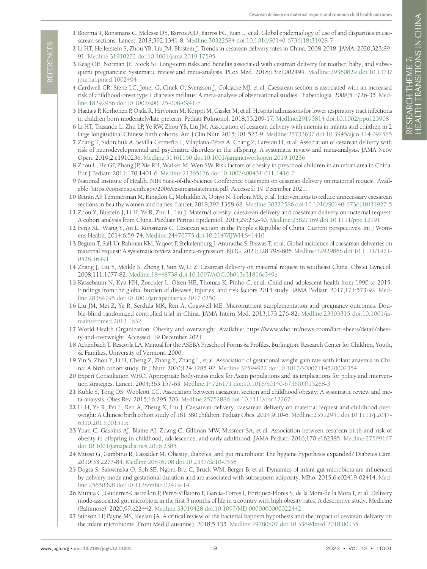- <span id="page-8-0"></span>1 Boerma T, Ronsmans C, Melesse DY, Barros AJD, Barros FC, Juan L, et al. Global epidemiology of use of and disparities in caesarean sections. Lancet. 2018;392:1341-8. Medline:30322584 doi:10.1016/S0140-6736(18)31928-7
- <span id="page-8-1"></span>2 Li HT, Hellerstein S, Zhou YB, Liu JM, Blustein J. Trends in cesarean delivery rates in China, 2008-2018. JAMA. 2020;323:89- 91. Medline:31910272 doi:10.1001/jama.2019.17595
- <span id="page-8-2"></span>3 Keag OE, Norman JE, Stock SJ. Long-term risks and benefits associated with cesarean delivery for mother, baby, and subsequent pregnancies: Systematic review and meta-analysis. PLoS Med. 2018;15:e1002494. Medline:29360829 doi:10.1371/ journal.pmed.1002494
- <span id="page-8-3"></span>4 Cardwell CR, Stene LC, Joner G, Cinek O, Svensson J, Goldacre MJ, et al. Caesarean section is associated with an increased risk of childhood-onset type 1 diabetes mellitus: A meta-analysis of observational studies. Diabetologia. 2008;51:726-35. Medline:18292986 doi:10.1007/s00125-008-0941-z
- <span id="page-8-4"></span>5 Haataja P, Korhonen P, Ojala R, Hirvonen M, Korppi M, Gissler M, et al. Hospital admissions for lower respiratory tract infections in children born moderately/late preterm. Pediatr Pulmonol. 2018;53:209-17. Medline:29193814 doi:10.1002/ppul.23908
- <span id="page-8-24"></span>6 Li HT, Trasande L, Zhu LP, Ye RW, Zhou YB, Liu JM. Association of cesarean delivery with anemia in infants and children in 2 large longitudinal Chinese birth cohorts. Am J Clin Nutr. 2015;101:523-9. Medline:25733637 doi:10.3945/ajcn.114.092585
- <span id="page-8-5"></span>7 Zhang T, Sidorchuk A, Sevilla-Cermeño L, Vilaplana-Pérez A, Chang Z, Larsson H, et al. Association of cesarean delivery with risk of neurodevelopmental and psychiatric disorders in the offspring: A systematic review and meta-analysis. JAMA Netw Open. 2019;2:e1910236. Medline:31461150 doi:10.1001/jamanetworkopen.2019.10236
- <span id="page-8-6"></span>8 Zhou L, He GP, Zhang JP, Xie RH, Walker M, Wen SW. Risk factors of obesity in preschool children in an urban area in China. Eur J Pediatr. 2011;170:1401-6. Medline:21365176 doi:10.1007/s00431-011-1416-7
- <span id="page-8-7"></span>9 National Institute of Health. NIH State-of-the-Science Conference Statement on cesarean delivery on maternal request. Available: https://consensus.nih.gov/2006/cesareanstatement.pdf. Accessed: 19 December 2021.
- <span id="page-8-8"></span>10 Betrán AP, Temmerman M, Kingdon C, Mohiddin A, Opiyo N, Torloni MR, et al. Interventions to reduce unnecessary caesarean sections in healthy women and babies. Lancet. 2018;392:1358-68. Medline:30322586 doi:10.1016/S0140-6736(18)31927-5
- <span id="page-8-9"></span>11 Zhou Y, Blustein J, Li H, Ye R, Zhu L, Liu J. Maternal obesity, caesarean delivery and caesarean delivery on maternal request: A cohort analysis from China. Paediatr Perinat Epidemiol. 2015;29:232-40. Medline:25827169 doi:10.1111/ppe.12191
- <span id="page-8-10"></span>12 Feng XL, Wang Y, An L, Ronsmans C. Cesarean section in the People's Republic of China: Current perspectives. Int J Womens Health. 2014;6:59-74. Medline:24470775 doi:10.2147/IJWH.S41410
- <span id="page-8-11"></span>13 Begum T, Saif-Ur-Rahman KM, Yaqoot F, Stekelenburg J, Anuradha S, Biswas T, et al. Global incidence of caesarean deliveries on maternal request: A systematic review and meta-regression. BJOG. 2021;128:798-806. Medline:32929868 doi:10.1111/1471- 0528.16491
- <span id="page-8-12"></span>14 Zhang J, Liu Y, Meikle S, Zheng J, Sun W, Li Z. Cesarean delivery on maternal request in southeast China. Obstet Gynecol. 2008;111:1077-82. Medline:18448738 doi:10.1097/AOG.0b013e31816e349e
- <span id="page-8-13"></span>15 Kassebaum N, Kyu HH, Zoeckler L, Olsen HE, Thomas K, Pinho C, et al. Child and adolescent health from 1990 to 2015: Findings from the global burden of diseases, injuries, and risk factors 2015 study. JAMA Pediatr. 2017;171:573-92. Medline:28384795 doi:10.1001/jamapediatrics.2017.0250
- <span id="page-8-14"></span>16 Liu JM, Mei Z, Ye R, Serdula MK, Ren A, Cogswell ME. Micronutrient supplementation and pregnancy outcomes: Double-blind randomized controlled trial in China. JAMA Intern Med. 2013;173:276-82. Medline:23303315 doi:10.1001/jamainternmed.2013.1632
- <span id="page-8-15"></span>17 World Health Organization. Obesity and overweight. Available: [https://www.who.int/news-room/fact-sheets/detail/obesi](https://www.who.int/news-room/fact-sheets/detail/obesity-and-overweight)[ty-and-overweight](https://www.who.int/news-room/fact-sheets/detail/obesity-and-overweight). Accessed: 19 December 2021.
- <span id="page-8-16"></span>18 Achenbach T, Rescorla LA. Manual for the ASEBA Preschool Forms & Profiles. Burlington: Research Center for Children, Youth, & Families, University of Vermont; 2000.
- <span id="page-8-17"></span>19 Yin S, Zhou Y, Li H, Cheng Z, Zhang Y, Zhang L, et al. Association of gestational weight gain rate with infant anaemia in China: A birth cohort study. Br J Nutr. 2020;124:1285-92. Medline:32594922 doi:10.1017/S0007114520002354
- <span id="page-8-18"></span>20 Expert Consultation WHO. Appropriate body-mass index for Asian populations and its implications for policy and intervention strategies. Lancet. 2004;363:157-63. Medline:14726171 doi:10.1016/S0140-6736(03)15268-3
- <span id="page-8-19"></span>21 Kuhle S, Tong OS, Woolcott CG. Association between caesarean section and childhood obesity: A systematic review and meta-analysis. Obes Rev. 2015;16:295-303. Medline:25752886 doi:10.1111/obr.12267
- <span id="page-8-20"></span>22 Li H, Ye R, Pei L, Ren A, Zheng X, Liu J. Caesarean delivery, caesarean delivery on maternal request and childhood overweight: A Chinese birth cohort study of 181 380 children. Pediatr Obes. 2014;9:10-6. Medline:23512941 doi:10.1111/j.2047- 6310.2013.00151.x
- <span id="page-8-21"></span>23 Yuan C, Gaskins AJ, Blaine AI, Zhang C, Gillman MW, Missmer SA, et al. Association between cesarean birth and risk of obesity in offspring in childhood, adolescence, and early adulthood. JAMA Pediatr. 2016;170:e162385. Medline:27599167 doi:10.1001/jamapediatrics.2016.2385
- <span id="page-8-22"></span>24 Musso G, Gambino R, Cassader M. Obesity, diabetes, and gut microbiota: The hygiene hypothesis expanded? Diabetes Care. 2010;33:2277-84. Medline:20876708 doi:10.2337/dc10-0556
- <span id="page-8-23"></span>25 Dogra S, Sakwinska O, Soh SE, Ngom-Bru C, Bruck WM, Berger B, et al. Dynamics of infant gut microbiota are influenced by delivery mode and gestational duration and are associated with subsequent adiposity. MBio. 2015;6:e02419-02414. Medline:25650398 doi:10.1128/mBio.02419-14
- We are the state of the state of the state of the state of the state of the state of the state of the state of the state of the state of the state of the state of the state of the state of the state of the state of the s 26 Murata C, Gutierrez-Castrellon P, Perez-Villatoro F, Garcia-Torres I, Enriquez-Flores S, de la Mora-de la Mora I, et al. Delivery mode-associated gut microbiota in the first 3 months of life in a country with high obesity rates: A descriptive study. Medicine (Baltimore). 2020;99:e22442. Medline:33019428 doi:10.1097/MD.0000000000022442
	- 27 Stinson LF, Payne MS, Keelan JA. A critical review of the bacterial baptism hypothesis and the impact of cesarean delivery on the infant microbiome. Front Med (Lausanne). 2018;5:135. Medline:29780807 doi:10.3389/fmed.2018.00135